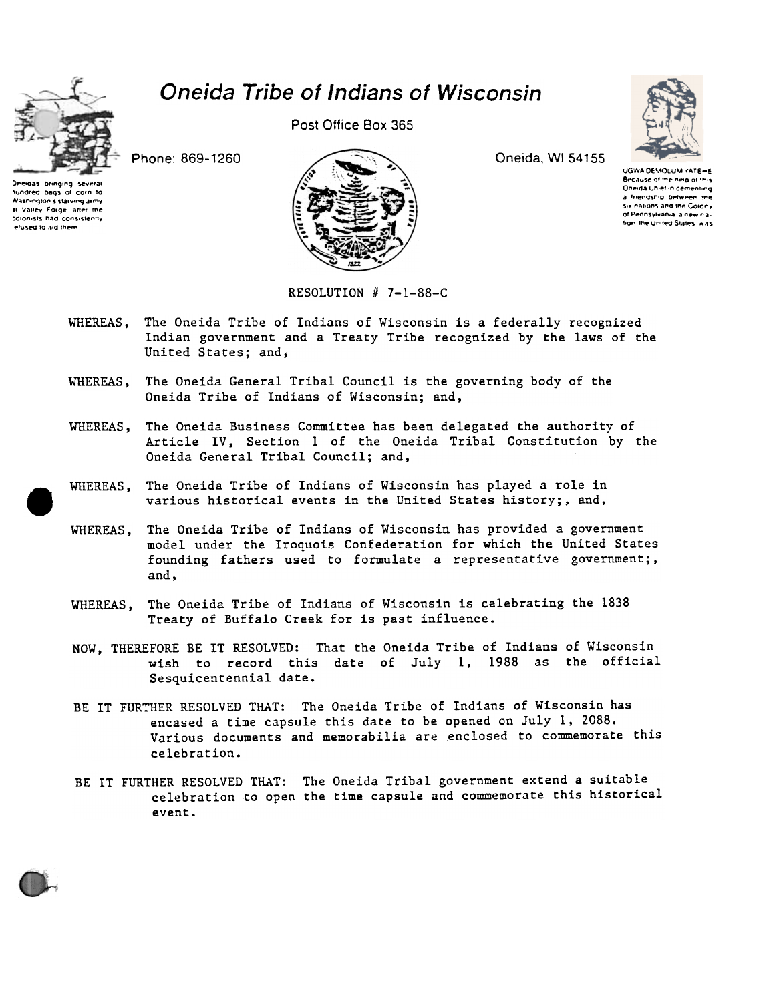

## Oneida Tribe of Indians of Wisconsin

Post Office Box 365

Phone: 869-1260



Oneida, WI 54155



UGWA DEMOLUM YATEHE Because of the neig of in-Oneida Chief in cementing a friendship between the Six nations and the Colony of Pennsylvania, a new naion the United States was

Nashington's starving army at Valley Forge after the colonists had consistently efused to aid them

tundred baos of corn to

RESOLUTION  $# 7-1-88-C$ 

- WHEREAS, The Oneida Tribe of Indians of Wisconsin is a federally recognized Indian government and a Treaty Tribe recognized by the laws of the United States; and,
- WHEREAS, The Oneida General Tribal Council is the governing body of the Oneida Tribe of Indians of Wisconsin; and,
- The Oneida Business Committee has been delegated the authority of WHEREAS, Article IV, Section 1 of the Oneida Tribal Constitution by the Oneida General Tribal Council; and,
- WHEREAS. The Oneida Tribe of Indians of Wisconsin has played a role in various historical events in the United States history;, and,
- The Oneida Tribe of Indians of Wisconsin has provided a government WHEREAS, model under the Iroquois Confederation for which the United States founding fathers used to formulate a representative government;, and.
- The Oneida Tribe of Indians of Wisconsin is celebrating the 1838 WHEREAS. Treaty of Buffalo Creek for is past influence.
- NOW, THEREFORE BE IT RESOLVED: That the Oneida Tribe of Indians of Wisconsin wish to record this date of July 1, 1988 as the official Sesquicentennial date.
- BE IT FURTHER RESOLVED THAT: The Oneida Tribe of Indians of Wisconsin has encased a time capsule this date to be opened on July 1, 2088. Various documents and memorabilia are enclosed to commemorate this celebration.
- BE IT FURTHER RESOLVED THAT: The Oneida Tribal government extend a suitable celebration to open the time capsule and commemorate this historical event.